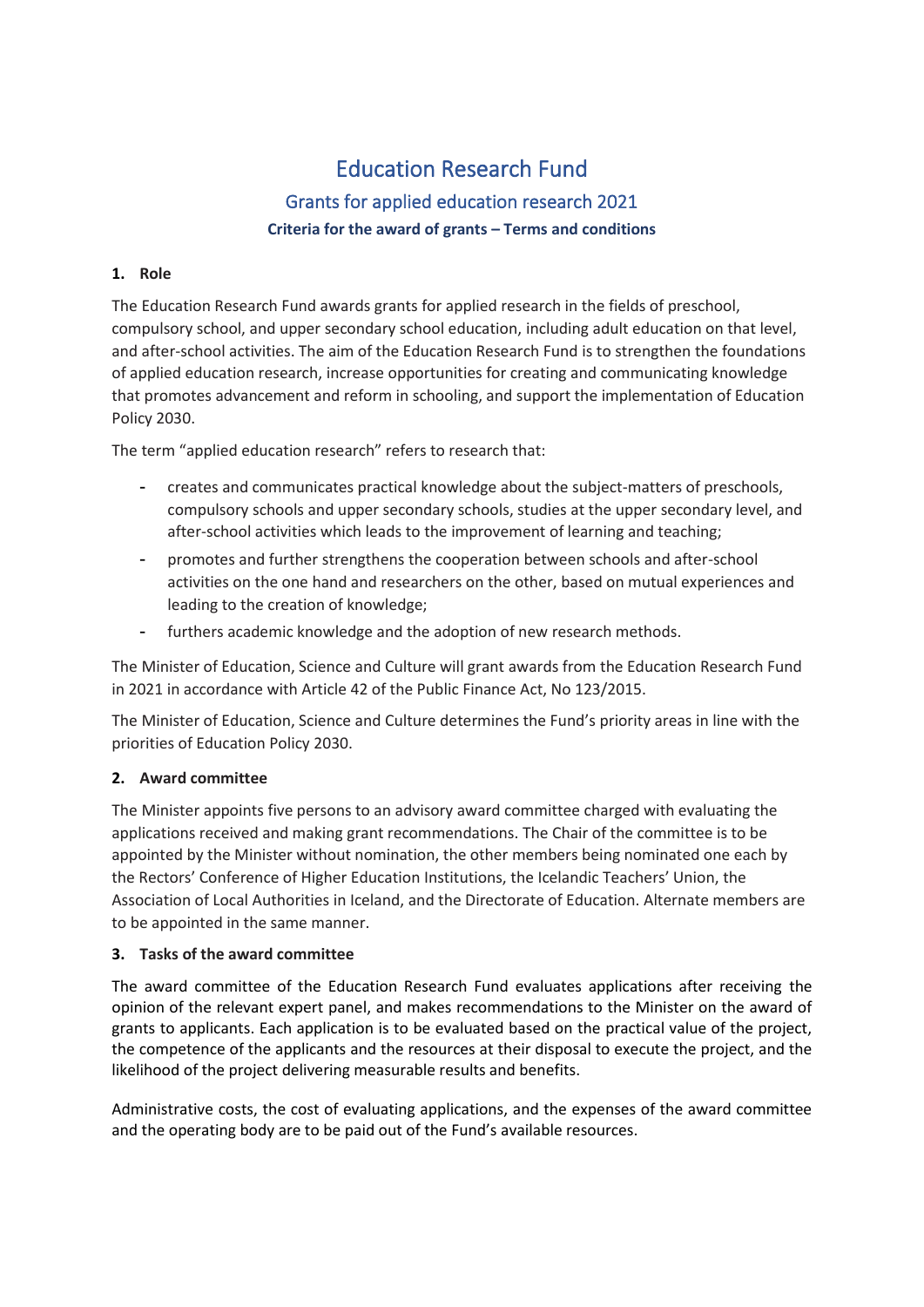# Education Research Fund Grants for applied education research 2021 **Criteria for the award of grants – Terms and conditions**

#### **1. Role**

The Education Research Fund awards grants for applied research in the fields of preschool, compulsory school, and upper secondary school education, including adult education on that level, and after-school activities. The aim of the Education Research Fund is to strengthen the foundations of applied education research, increase opportunities for creating and communicating knowledge that promotes advancement and reform in schooling, and support the implementation of Education Policy 2030.

The term "applied education research" refers to research that:

- creates and communicates practical knowledge about the subject-matters of preschools, compulsory schools and upper secondary schools, studies at the upper secondary level, and after-school activities which leads to the improvement of learning and teaching;
- promotes and further strengthens the cooperation between schools and after-school activities on the one hand and researchers on the other, based on mutual experiences and leading to the creation of knowledge;
- furthers academic knowledge and the adoption of new research methods.

The Minister of Education, Science and Culture will grant awards from the Education Research Fund in 2021 in accordance with Article 42 of the Public Finance Act, No 123/2015.

The Minister of Education, Science and Culture determines the Fund's priority areas in line with the priorities of Education Policy 2030.

## **2. Award committee**

The Minister appoints five persons to an advisory award committee charged with evaluating the applications received and making grant recommendations. The Chair of the committee is to be appointed by the Minister without nomination, the other members being nominated one each by the Rectors' Conference of Higher Education Institutions, the Icelandic Teachers' Union, the Association of Local Authorities in Iceland, and the Directorate of Education. Alternate members are to be appointed in the same manner.

## **3. Tasks of the award committee**

The award committee of the Education Research Fund evaluates applications after receiving the opinion of the relevant expert panel, and makes recommendations to the Minister on the award of grants to applicants. Each application is to be evaluated based on the practical value of the project, the competence of the applicants and the resources at their disposal to execute the project, and the likelihood of the project delivering measurable results and benefits.

Administrative costs, the cost of evaluating applications, and the expenses of the award committee and the operating body are to be paid out of the Fund's available resources.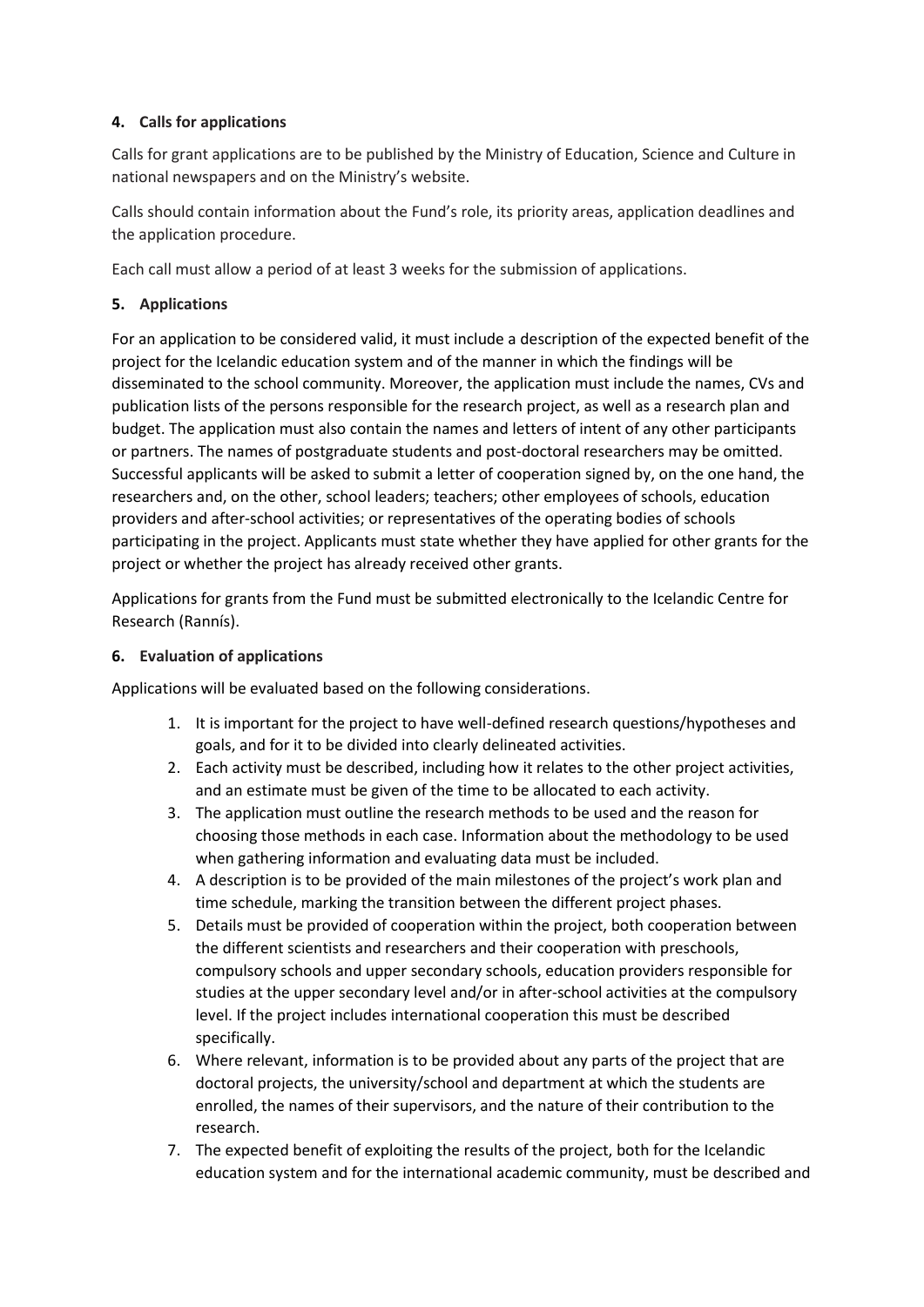## **4. Calls for applications**

Calls for grant applications are to be published by the Ministry of Education, Science and Culture in national newspapers and on the Ministry's website.

Calls should contain information about the Fund's role, its priority areas, application deadlines and the application procedure.

Each call must allow a period of at least 3 weeks for the submission of applications.

## **5. Applications**

For an application to be considered valid, it must include a description of the expected benefit of the project for the Icelandic education system and of the manner in which the findings will be disseminated to the school community. Moreover, the application must include the names, CVs and publication lists of the persons responsible for the research project, as well as a research plan and budget. The application must also contain the names and letters of intent of any other participants or partners. The names of postgraduate students and post-doctoral researchers may be omitted. Successful applicants will be asked to submit a letter of cooperation signed by, on the one hand, the researchers and, on the other, school leaders; teachers; other employees of schools, education providers and after-school activities; or representatives of the operating bodies of schools participating in the project. Applicants must state whether they have applied for other grants for the project or whether the project has already received other grants.

Applications for grants from the Fund must be submitted electronically to the Icelandic Centre for Research (Rannís).

## **6. Evaluation of applications**

Applications will be evaluated based on the following considerations.

- 1. It is important for the project to have well-defined research questions/hypotheses and goals, and for it to be divided into clearly delineated activities.
- 2. Each activity must be described, including how it relates to the other project activities, and an estimate must be given of the time to be allocated to each activity.
- 3. The application must outline the research methods to be used and the reason for choosing those methods in each case. Information about the methodology to be used when gathering information and evaluating data must be included.
- 4. A description is to be provided of the main milestones of the project's work plan and time schedule, marking the transition between the different project phases.
- 5. Details must be provided of cooperation within the project, both cooperation between the different scientists and researchers and their cooperation with preschools, compulsory schools and upper secondary schools, education providers responsible for studies at the upper secondary level and/or in after-school activities at the compulsory level. If the project includes international cooperation this must be described specifically.
- 6. Where relevant, information is to be provided about any parts of the project that are doctoral projects, the university/school and department at which the students are enrolled, the names of their supervisors, and the nature of their contribution to the research.
- 7. The expected benefit of exploiting the results of the project, both for the Icelandic education system and for the international academic community, must be described and